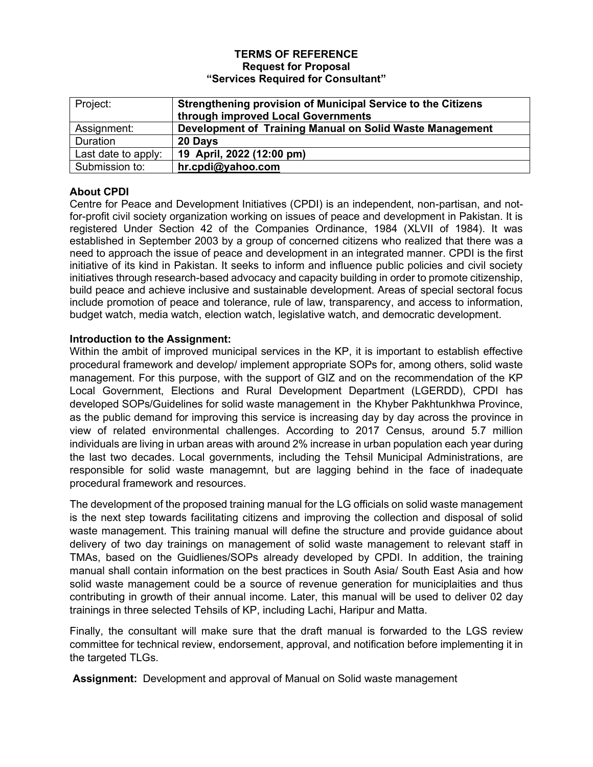#### **TERMS OF REFERENCE Request for Proposal "Services Required for Consultant"**

| Project:            | <b>Strengthening provision of Municipal Service to the Citizens</b><br>through improved Local Governments |
|---------------------|-----------------------------------------------------------------------------------------------------------|
| Assignment:         | Development of Training Manual on Solid Waste Management                                                  |
| Duration            | 20 Days                                                                                                   |
| Last date to apply: | 19 April, 2022 (12:00 pm)                                                                                 |
| Submission to:      | hr.cpdi@yahoo.com                                                                                         |

# **About CPDI**

Centre for Peace and Development Initiatives (CPDI) is an independent, non-partisan, and notfor-profit civil society organization working on issues of peace and development in Pakistan. It is registered Under Section 42 of the Companies Ordinance, 1984 (XLVII of 1984). It was established in September 2003 by a group of concerned citizens who realized that there was a need to approach the issue of peace and development in an integrated manner. CPDI is the first initiative of its kind in Pakistan. It seeks to inform and influence public policies and civil society initiatives through research-based advocacy and capacity building in order to promote citizenship, build peace and achieve inclusive and sustainable development. Areas of special sectoral focus include promotion of peace and tolerance, rule of law, transparency, and access to information, budget watch, media watch, election watch, legislative watch, and democratic development.

## **Introduction to the Assignment:**

Within the ambit of improved municipal services in the KP, it is important to establish effective procedural framework and develop/ implement appropriate SOPs for, among others, solid waste management. For this purpose, with the support of GIZ and on the recommendation of the KP Local Government, Elections and Rural Development Department (LGERDD), CPDI has developed SOPs/Guidelines for solid waste management in the Khyber Pakhtunkhwa Province, as the public demand for improving this service is increasing day by day across the province in view of related environmental challenges. According to 2017 Census, around 5.7 million individuals are living in urban areas with around 2% increase in urban population each year during the last two decades. Local governments, including the Tehsil Municipal Administrations, are responsible for solid waste managemnt, but are lagging behind in the face of inadequate procedural framework and resources.

The development of the proposed training manual for the LG officials on solid waste management is the next step towards facilitating citizens and improving the collection and disposal of solid waste management. This training manual will define the structure and provide guidance about delivery of two day trainings on management of solid waste management to relevant staff in TMAs, based on the Guidlienes/SOPs already developed by CPDI. In addition, the training manual shall contain information on the best practices in South Asia/ South East Asia and how solid waste management could be a source of revenue generation for municiplaities and thus contributing in growth of their annual income. Later, this manual will be used to deliver 02 day trainings in three selected Tehsils of KP, including Lachi, Haripur and Matta.

Finally, the consultant will make sure that the draft manual is forwarded to the LGS review committee for technical review, endorsement, approval, and notification before implementing it in the targeted TLGs.

**Assignment:** Development and approval of Manual on Solid waste management